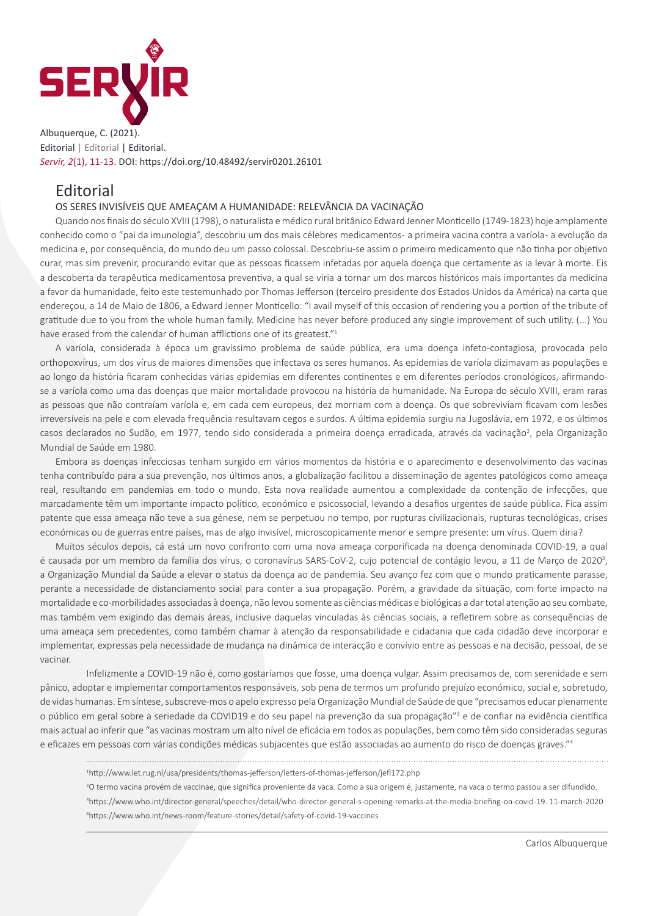

Albuquerque, C. (2021). Editorial | Editorial | Editorial. *Servir, 2*(1), 11-13. DOI: https://doi.org/10.48492/servir0201.26101

# **Editorial**

### OS SERES INVISÍVEIS QUE AMEAÇAM A HUMANIDADE: RELEVÂNCIA DA VACINAÇÃO

Quando nos finais do século XVIII (1798), o naturalista e médico rural britânico Edward Jenner Monticello (1749-1823) hoje amplamente conhecido como o "pai da imunologia", descobriu um dos mais célebres medicamentos - a primeira vacina contra a varíola - a evolução da medicina e, por consequência, do mundo deu um passo colossal. Descobriu-se assim o primeiro medicamento que não tinha por objetivo curar, mas sim prevenir, procurando evitar que as pessoas ficassem infetadas por aquela doença que certamente as ia levar à morte. Eis a descoberta da terapêutica medicamentosa preventiva, a qual se viria a tornar um dos marcos históricos mais importantes da medicina a favor da humanidade, feito este testemunhado por Thomas Jefferson (terceiro presidente dos Estados Unidos da América) na carta que endereçou, a 14 de Maio de 1806, a Edward Jenner Monticello: "I avail myself of this occasion of rendering you a portion of the tribute of gratitude due to you from the whole human family. Medicine has never before produced any single improvement of such utility. (...) You have erased from the calendar of human afflictions one of its greatest."<sup>1</sup>

A varíola, considerada à época um gravíssimo problema de saúde pública, era uma doença infeto-contagiosa, provocada pelo orthopoxvírus, um dos vírus de maiores dimensões que infectava os seres humanos. As epidemias de varíola dizimavam as populações e ao longo da história ficaram conhecidas várias epidemias em diferentes continentes e em diferentes períodos cronológicos, afirmandose a varíola como uma das doenças que maior mortalidade provocou na história da humanidade. Na Europa do século XVIII, eram raras as pessoas que não contraíam varíola e, em cada cem europeus, dez morriam com a doença. Os que sobreviviam ficavam com lesões irreversíveis na pele e com elevada frequência resultavam cegos e surdos. A última epidemia surgiu na Jugoslávia, em 1972, e os últimos casos declarados no Sudão, em 1977, tendo sido considerada a primeira doença erradicada, através da vacinação<sup>2</sup>, pela Organização Mundial de Saúde em 1980.

Embora as doenças infecciosas tenham surgido em vários momentos da história e o aparecimento e desenvolvimento das vacinas tenha contribuído para a sua prevenção, nos últimos anos, a globalização facilitou a disseminação de agentes patológicos como ameaça real, resultando em pandemias em todo o mundo. Esta nova realidade aumentou a complexidade da contenção de infecções, que marcadamente têm um importante impacto político, económico e psicossocial, levando a desafios urgentes de saúde pública. Fica assim patente que essa ameaça não teve a sua génese, nem se perpetuou no tempo, por rupturas civilizacionais, rupturas tecnológicas, crises económicas ou de guerras entre países, mas de algo invisível, microscopicamente menor e sempre presente: um vírus. Quem diria?

Muitos séculos depois, cá está um novo confronto com uma nova ameaça corporificada na doença denominada COVID-19, a qual é causada por um membro da família dos vírus, o coronavírus SARS-CoV-2, cujo potencial de contágio levou, a 11 de Março de 2020<sup>3</sup>, a Organização Mundial da Saúde a elevar o status da doença ao de pandemia. Seu avanço fez com que o mundo praticamente parasse, perante a necessidade de distanciamento social para conter a sua propagação. Porém, a gravidade da situação, com forte impacto na mortalidade e co-morbilidades associadas à doença, não levou somente as ciências médicas e biológicas a dar total atenção ao seu combate, mas também vem exigindo das demais áreas, inclusive daquelas vinculadas às ciências sociais, a refletirem sobre as consequências de uma ameaça sem precedentes, como também chamar à atenção da responsabilidade e cidadania que cada cidadão deve incorporar e implementar, expressas pela necessidade de mudança na dinâmica de interacção e convívio entre as pessoas e na decisão, pessoal, de se vacinar.

Infelizmente a COVID-19 não é, como gostaríamos que fosse, uma doença vulgar. Assim precisamos de, com serenidade e sem pânico, adoptar e implementar comportamentos responsáveis, sob pena de termos um profundo prejuízo económico, social e, sobretudo, de vidas humanas. Em síntese, subscreve-mos o apelo expresso pela Organização Mundial de Saúde de que "precisamos educar plenamente o público em geral sobre a seriedade da COVID19 e do seu papel na prevenção da sua propagação"3 e de confiar na evidência científica mais actual ao inferir que "as vacinas mostram um alto nível de eficácia em todos as populações, bem como têm sido consideradas seguras e eficazes em pessoas com várias condições médicas subjacentes que estão associadas ao aumento do risco de doenças graves."<sup>4</sup>

1 http://www.let.rug.nl/usa/presidents/thomas-jefferson/letters-of-thomas-jefferson/jefl172.php

2 O termo vacina provém de vaccinae, que significa proveniente da vaca. Como a sua origem é, justamente, na vaca o termo passou a ser difundido. 3 https://www.who.int/director-general/speeches/detail/who-director-general-s-opening-remarks-at-the-media-briefing-on-covid-19. 11-march-2020 4 https://www.who.int/news-room/feature-stories/detail/safety-of-covid-19-vaccines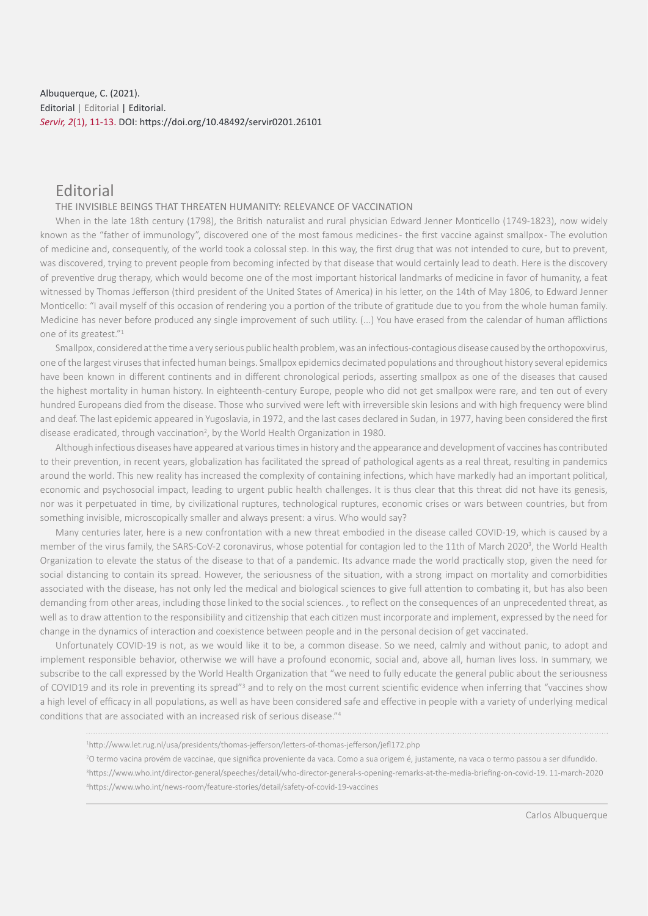## Albuquerque, C. (2021). Editorial | Editorial | Editorial. *Servir, 2*(1), 11-13. DOI: https://doi.org/10.48492/servir0201.26101

# Editorial

#### THE INVISIBLE BEINGS THAT THREATEN HUMANITY: RELEVANCE OF VACCINATION

When in the late 18th century (1798), the British naturalist and rural physician Edward Jenner Monticello (1749-1823), now widely known as the "father of immunology", discovered one of the most famous medicines- the first vaccine against smallpox- The evolution of medicine and, consequently, of the world took a colossal step. In this way, the first drug that was not intended to cure, but to prevent, was discovered, trying to prevent people from becoming infected by that disease that would certainly lead to death. Here is the discovery of preventive drug therapy, which would become one of the most important historical landmarks of medicine in favor of humanity, a feat witnessed by Thomas Jefferson (third president of the United States of America) in his letter, on the 14th of May 1806, to Edward Jenner Monticello: "I avail myself of this occasion of rendering you a portion of the tribute of gratitude due to you from the whole human family. Medicine has never before produced any single improvement of such utility. (...) You have erased from the calendar of human afflictions one of its greatest."<sup>1</sup>

Smallpox, considered at the time a very serious public health problem, was an infectious-contagious disease caused by the orthopoxvirus, one of the largest viruses that infected human beings. Smallpox epidemics decimated populations and throughout history several epidemics have been known in different continents and in different chronological periods, asserting smallpox as one of the diseases that caused the highest mortality in human history. In eighteenth-century Europe, people who did not get smallpox were rare, and ten out of every hundred Europeans died from the disease. Those who survived were left with irreversible skin lesions and with high frequency were blind and deaf. The last epidemic appeared in Yugoslavia, in 1972, and the last cases declared in Sudan, in 1977, having been considered the first disease eradicated, through vaccination<sup>2</sup>, by the World Health Organization in 1980.

Although infectious diseases have appeared at various times in history and the appearance and development of vaccines has contributed to their prevention, in recent years, globalization has facilitated the spread of pathological agents as a real threat, resulting in pandemics around the world. This new reality has increased the complexity of containing infections, which have markedly had an important political, economic and psychosocial impact, leading to urgent public health challenges. It is thus clear that this threat did not have its genesis, nor was it perpetuated in time, by civilizational ruptures, technological ruptures, economic crises or wars between countries, but from something invisible, microscopically smaller and always present: a virus. Who would say?

Many centuries later, here is a new confrontation with a new threat embodied in the disease called COVID-19, which is caused by a member of the virus family, the SARS-CoV-2 coronavirus, whose potential for contagion led to the 11th of March 2020<sup>3</sup>, the World Health Organization to elevate the status of the disease to that of a pandemic. Its advance made the world practically stop, given the need for social distancing to contain its spread. However, the seriousness of the situation, with a strong impact on mortality and comorbidities associated with the disease, has not only led the medical and biological sciences to give full attention to combating it, but has also been demanding from other areas, including those linked to the social sciences. , to reflect on the consequences of an unprecedented threat, as well as to draw attention to the responsibility and citizenship that each citizen must incorporate and implement, expressed by the need for change in the dynamics of interaction and coexistence between people and in the personal decision of get vaccinated.

Unfortunately COVID-19 is not, as we would like it to be, a common disease. So we need, calmly and without panic, to adopt and implement responsible behavior, otherwise we will have a profound economic, social and, above all, human lives loss. In summary, we subscribe to the call expressed by the World Health Organization that "we need to fully educate the general public about the seriousness of COVID19 and its role in preventing its spread"<sup>3</sup> and to rely on the most current scientific evidence when inferring that "vaccines show a high level of efficacy in all populations, as well as have been considered safe and effective in people with a variety of underlying medical conditions that are associated with an increased risk of serious disease."<sup>4</sup>

1 http://www.let.rug.nl/usa/presidents/thomas-jefferson/letters-of-thomas-jefferson/jefl172.php

2 O termo vacina provém de vaccinae, que significa proveniente da vaca. Como a sua origem é, justamente, na vaca o termo passou a ser difundido.

3 https://www.who.int/director-general/speeches/detail/who-director-general-s-opening-remarks-at-the-media-briefing-on-covid-19. 11-march-2020 4 https://www.who.int/news-room/feature-stories/detail/safety-of-covid-19-vaccines